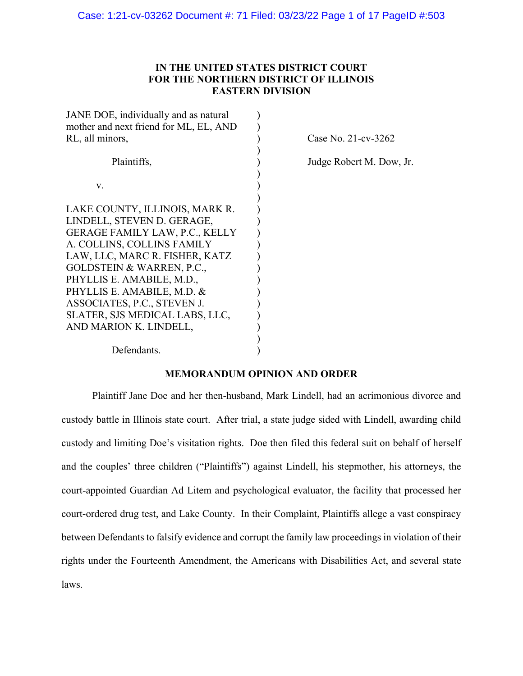# **IN THE UNITED STATES DISTRICT COURT FOR THE NORTHERN DISTRICT OF ILLINOIS EASTERN DIVISION**

| JANE DOE, individually and as natural  |        |
|----------------------------------------|--------|
| mother and next friend for ML, EL, AND |        |
| RL, all minors,                        | Case N |
|                                        |        |
| Plaintiffs,                            | Judge  |
|                                        |        |
| V.                                     |        |
|                                        |        |
| LAKE COUNTY, ILLINOIS, MARK R.         |        |
| LINDELL, STEVEN D. GERAGE,             |        |
| <b>GERAGE FAMILY LAW, P.C., KELLY</b>  |        |
| A. COLLINS, COLLINS FAMILY             |        |
| LAW, LLC, MARC R. FISHER, KATZ         |        |
| <b>GOLDSTEIN &amp; WARREN, P.C.,</b>   |        |
| PHYLLIS E. AMABILE, M.D.,              |        |
| PHYLLIS E. AMABILE, M.D. &             |        |
| ASSOCIATES, P.C., STEVEN J.            |        |
| SLATER, SJS MEDICAL LABS, LLC,         |        |
| AND MARION K. LINDELL,                 |        |
|                                        |        |
| Defendants.                            |        |

 $No. 21-cv-3262$ 

Robert M. Dow, Jr.

# **MEMORANDUM OPINION AND ORDER**

Plaintiff Jane Doe and her then-husband, Mark Lindell, had an acrimonious divorce and custody battle in Illinois state court. After trial, a state judge sided with Lindell, awarding child custody and limiting Doe's visitation rights. Doe then filed this federal suit on behalf of herself and the couples' three children ("Plaintiffs") against Lindell, his stepmother, his attorneys, the court-appointed Guardian Ad Litem and psychological evaluator, the facility that processed her court-ordered drug test, and Lake County. In their Complaint, Plaintiffs allege a vast conspiracy between Defendants to falsify evidence and corrupt the family law proceedings in violation of their rights under the Fourteenth Amendment, the Americans with Disabilities Act, and several state laws.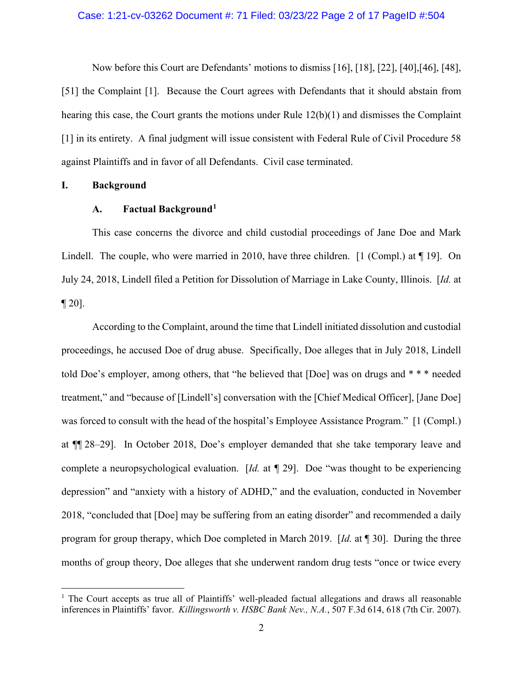#### Case: 1:21-cv-03262 Document #: 71 Filed: 03/23/22 Page 2 of 17 PageID #:504

Now before this Court are Defendants' motions to dismiss [16], [18], [22], [40],[46], [48], [51] the Complaint [1]. Because the Court agrees with Defendants that it should abstain from hearing this case, the Court grants the motions under Rule 12(b)(1) and dismisses the Complaint [1] in its entirety. A final judgment will issue consistent with Federal Rule of Civil Procedure 58 against Plaintiffs and in favor of all Defendants. Civil case terminated.

#### **I. Background**

# **A. Factual Background1**

This case concerns the divorce and child custodial proceedings of Jane Doe and Mark Lindell. The couple, who were married in 2010, have three children. [1 (Compl.) at  $\P$  19]. On July 24, 2018, Lindell filed a Petition for Dissolution of Marriage in Lake County, Illinois. [*Id.* at  $\P$  20].

According to the Complaint, around the time that Lindell initiated dissolution and custodial proceedings, he accused Doe of drug abuse. Specifically, Doe alleges that in July 2018, Lindell told Doe's employer, among others, that "he believed that [Doe] was on drugs and \* \* \* needed treatment," and "because of [Lindell's] conversation with the [Chief Medical Officer], [Jane Doe] was forced to consult with the head of the hospital's Employee Assistance Program." [1 (Compl.) at ¶¶ 28–29]. In October 2018, Doe's employer demanded that she take temporary leave and complete a neuropsychological evaluation. [*Id.* at *¶* 29]. Doe "was thought to be experiencing depression" and "anxiety with a history of ADHD," and the evaluation, conducted in November 2018, "concluded that [Doe] may be suffering from an eating disorder" and recommended a daily program for group therapy, which Doe completed in March 2019. [*Id.* at ¶ 30]. During the three months of group theory, Doe alleges that she underwent random drug tests "once or twice every

<sup>&</sup>lt;sup>1</sup> The Court accepts as true all of Plaintiffs' well-pleaded factual allegations and draws all reasonable inferences in Plaintiffs' favor. *Killingsworth v. HSBC Bank Nev., N.A.*, 507 F.3d 614, 618 (7th Cir. 2007).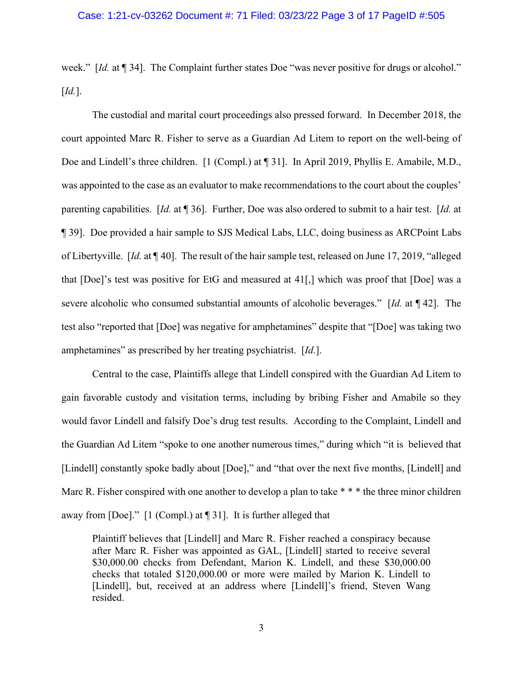week." [*Id.* at ¶ 34]. The Complaint further states Doe "was never positive for drugs or alcohol." [*Id.*].

The custodial and marital court proceedings also pressed forward. In December 2018, the court appointed Marc R. Fisher to serve as a Guardian Ad Litem to report on the well-being of Doe and Lindell's three children. [1 (Compl.) at ¶ 31]. In April 2019, Phyllis E. Amabile, M.D., was appointed to the case as an evaluator to make recommendations to the court about the couples' parenting capabilities. [*Id.* at ¶ 36]. Further, Doe was also ordered to submit to a hair test. [*Id.* at ¶ 39]. Doe provided a hair sample to SJS Medical Labs, LLC, doing business as ARCPoint Labs of Libertyville. [*Id.* at ¶ 40]. The result of the hair sample test, released on June 17, 2019, "alleged that [Doe]'s test was positive for EtG and measured at 41[,] which was proof that [Doe] was a severe alcoholic who consumed substantial amounts of alcoholic beverages." [*Id.* at ¶ 42]. The test also "reported that [Doe] was negative for amphetamines" despite that "[Doe] was taking two amphetamines" as prescribed by her treating psychiatrist. [*Id.*].

Central to the case, Plaintiffs allege that Lindell conspired with the Guardian Ad Litem to gain favorable custody and visitation terms, including by bribing Fisher and Amabile so they would favor Lindell and falsify Doe's drug test results. According to the Complaint, Lindell and the Guardian Ad Litem "spoke to one another numerous times," during which "it is believed that [Lindell] constantly spoke badly about [Doe]," and "that over the next five months, [Lindell] and Marc R. Fisher conspired with one another to develop a plan to take \* \* \* the three minor children away from [Doe]." [1 (Compl.) at ¶ 31]. It is further alleged that

Plaintiff believes that [Lindell] and Marc R. Fisher reached a conspiracy because after Marc R. Fisher was appointed as GAL, [Lindell] started to receive several \$30,000.00 checks from Defendant, Marion K. Lindell, and these \$30,000.00 checks that totaled \$120,000.00 or more were mailed by Marion K. Lindell to [Lindell], but, received at an address where [Lindell]'s friend, Steven Wang resided.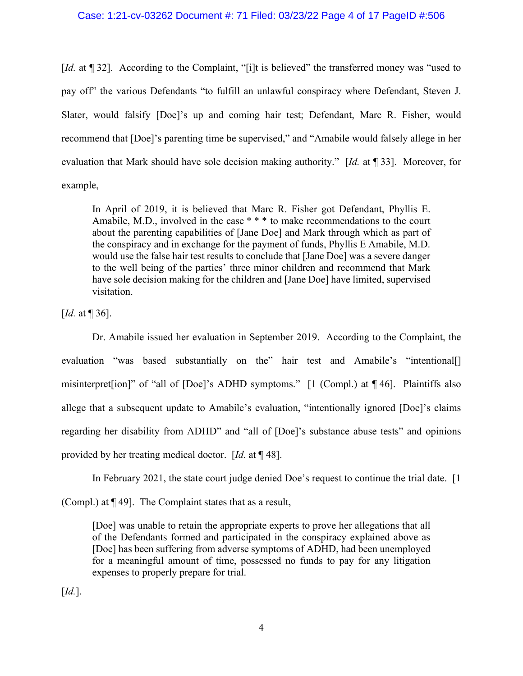# Case: 1:21-cv-03262 Document #: 71 Filed: 03/23/22 Page 4 of 17 PageID #:506

[*Id.* at ¶ 32]. According to the Complaint, "[i]t is believed" the transferred money was "used to pay off" the various Defendants "to fulfill an unlawful conspiracy where Defendant, Steven J. Slater, would falsify [Doe]'s up and coming hair test; Defendant, Marc R. Fisher, would recommend that [Doe]'s parenting time be supervised," and "Amabile would falsely allege in her evaluation that Mark should have sole decision making authority." [*Id.* at ¶ 33]. Moreover, for example,

In April of 2019, it is believed that Marc R. Fisher got Defendant, Phyllis E. Amabile, M.D., involved in the case \* \* \* to make recommendations to the court about the parenting capabilities of [Jane Doe] and Mark through which as part of the conspiracy and in exchange for the payment of funds, Phyllis E Amabile, M.D. would use the false hair test results to conclude that [Jane Doe] was a severe danger to the well being of the parties' three minor children and recommend that Mark have sole decision making for the children and [Jane Doe] have limited, supervised visitation.

[*Id.* at ¶ 36].

Dr. Amabile issued her evaluation in September 2019. According to the Complaint, the evaluation "was based substantially on the" hair test and Amabile's "intentional misinterpret[ion]" of "all of [Doe]'s ADHD symptoms." [1 (Compl.) at ¶ 46]. Plaintiffs also allege that a subsequent update to Amabile's evaluation, "intentionally ignored [Doe]'s claims regarding her disability from ADHD" and "all of [Doe]'s substance abuse tests" and opinions provided by her treating medical doctor. [*Id.* at ¶ 48].

In February 2021, the state court judge denied Doe's request to continue the trial date. [1]

(Compl.) at ¶ 49]. The Complaint states that as a result,

[Doe] was unable to retain the appropriate experts to prove her allegations that all of the Defendants formed and participated in the conspiracy explained above as [Doe] has been suffering from adverse symptoms of ADHD, had been unemployed for a meaningful amount of time, possessed no funds to pay for any litigation expenses to properly prepare for trial.

[*Id.*].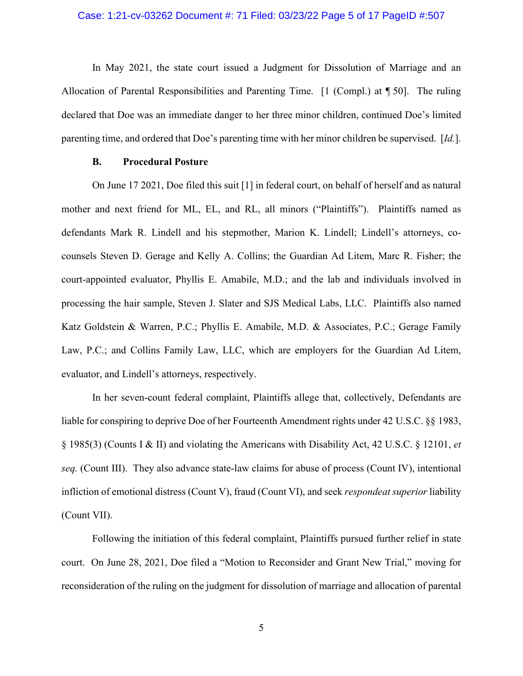#### Case: 1:21-cv-03262 Document #: 71 Filed: 03/23/22 Page 5 of 17 PageID #:507

In May 2021, the state court issued a Judgment for Dissolution of Marriage and an Allocation of Parental Responsibilities and Parenting Time. [1 (Compl.) at ¶ 50]. The ruling declared that Doe was an immediate danger to her three minor children, continued Doe's limited parenting time, and ordered that Doe's parenting time with her minor children be supervised. [*Id.*].

### **B. Procedural Posture**

On June 17 2021, Doe filed this suit [1] in federal court, on behalf of herself and as natural mother and next friend for ML, EL, and RL, all minors ("Plaintiffs"). Plaintiffs named as defendants Mark R. Lindell and his stepmother, Marion K. Lindell; Lindell's attorneys, cocounsels Steven D. Gerage and Kelly A. Collins; the Guardian Ad Litem, Marc R. Fisher; the court-appointed evaluator, Phyllis E. Amabile, M.D.; and the lab and individuals involved in processing the hair sample, Steven J. Slater and SJS Medical Labs, LLC. Plaintiffs also named Katz Goldstein & Warren, P.C.; Phyllis E. Amabile, M.D. & Associates, P.C.; Gerage Family Law, P.C.; and Collins Family Law, LLC, which are employers for the Guardian Ad Litem, evaluator, and Lindell's attorneys, respectively.

In her seven-count federal complaint, Plaintiffs allege that, collectively, Defendants are liable for conspiring to deprive Doe of her Fourteenth Amendment rights under 42 U.S.C. §§ 1983, § 1985(3) (Counts I & II) and violating the Americans with Disability Act, 42 U.S.C. § 12101, *et seq.* (Count III). They also advance state-law claims for abuse of process (Count IV), intentional infliction of emotional distress (Count V), fraud (Count VI), and seek *respondeat superior* liability (Count VII).

Following the initiation of this federal complaint, Plaintiffs pursued further relief in state court. On June 28, 2021, Doe filed a "Motion to Reconsider and Grant New Trial," moving for reconsideration of the ruling on the judgment for dissolution of marriage and allocation of parental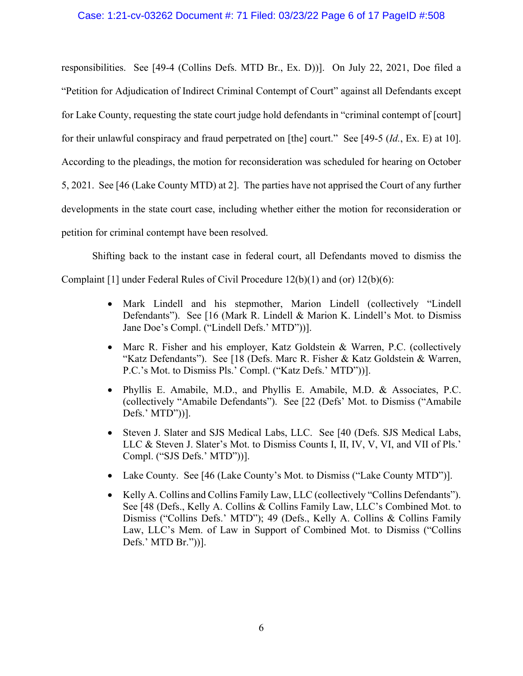responsibilities. See [49-4 (Collins Defs. MTD Br., Ex. D))]. On July 22, 2021, Doe filed a "Petition for Adjudication of Indirect Criminal Contempt of Court" against all Defendants except for Lake County, requesting the state court judge hold defendants in "criminal contempt of [court] for their unlawful conspiracy and fraud perpetrated on [the] court." See [49-5 (*Id.*, Ex. E) at 10]. According to the pleadings, the motion for reconsideration was scheduled for hearing on October 5, 2021. See [46 (Lake County MTD) at 2]. The parties have not apprised the Court of any further developments in the state court case, including whether either the motion for reconsideration or petition for criminal contempt have been resolved.

Shifting back to the instant case in federal court, all Defendants moved to dismiss the Complaint [1] under Federal Rules of Civil Procedure  $12(b)(1)$  and (or)  $12(b)(6)$ :

- Mark Lindell and his stepmother, Marion Lindell (collectively "Lindell Defendants"). See [16 (Mark R. Lindell & Marion K. Lindell's Mot. to Dismiss Jane Doe's Compl. ("Lindell Defs.' MTD"))].
- Marc R. Fisher and his employer, Katz Goldstein & Warren, P.C. (collectively "Katz Defendants"). See [18 (Defs. Marc R. Fisher & Katz Goldstein & Warren, P.C.'s Mot. to Dismiss Pls.' Compl. ("Katz Defs.' MTD"))].
- Phyllis E. Amabile, M.D., and Phyllis E. Amabile, M.D. & Associates, P.C. (collectively "Amabile Defendants"). See [22 (Defs' Mot. to Dismiss ("Amabile Defs.' MTD"))].
- Steven J. Slater and SJS Medical Labs, LLC. See [40 (Defs. SJS Medical Labs, LLC & Steven J. Slater's Mot. to Dismiss Counts I, II, IV, V, VI, and VII of Pls.' Compl. ("SJS Defs.' MTD"))].
- Lake County. See [46 (Lake County's Mot. to Dismiss ("Lake County MTD")].
- Kelly A. Collins and Collins Family Law, LLC (collectively "Collins Defendants"). See [48 (Defs., Kelly A. Collins & Collins Family Law, LLC's Combined Mot. to Dismiss ("Collins Defs.' MTD"); 49 (Defs., Kelly A. Collins & Collins Family Law, LLC's Mem. of Law in Support of Combined Mot. to Dismiss ("Collins Defs.' MTD Br."))].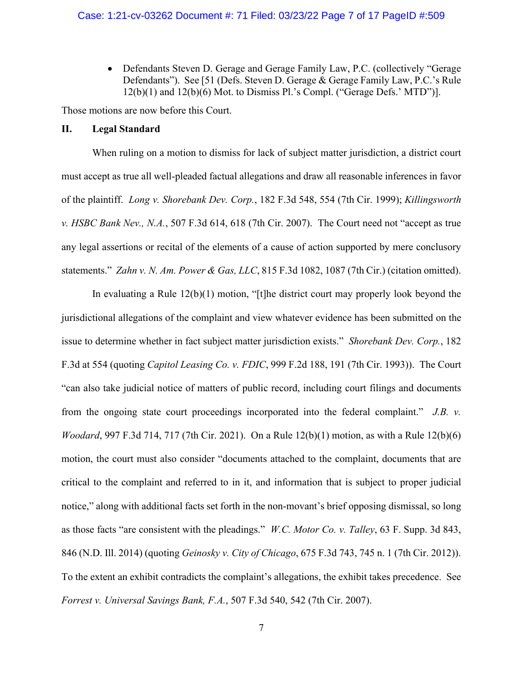• Defendants Steven D. Gerage and Gerage Family Law, P.C. (collectively "Gerage Defendants"). See [51 (Defs. Steven D. Gerage & Gerage Family Law, P.C.'s Rule 12(b)(1) and 12(b)(6) Mot. to Dismiss Pl.'s Compl. ("Gerage Defs.' MTD")].

Those motions are now before this Court.

# **II. Legal Standard**

When ruling on a motion to dismiss for lack of subject matter jurisdiction, a district court must accept as true all well-pleaded factual allegations and draw all reasonable inferences in favor of the plaintiff. *Long v. Shorebank Dev. Corp.*, 182 F.3d 548, 554 (7th Cir. 1999); *Killingsworth v. HSBC Bank Nev., N.A.*, 507 F.3d 614, 618 (7th Cir. 2007). The Court need not "accept as true any legal assertions or recital of the elements of a cause of action supported by mere conclusory statements." *Zahn v. N. Am. Power & Gas, LLC*, 815 F.3d 1082, 1087 (7th Cir.) (citation omitted).

In evaluating a Rule 12(b)(1) motion, "[t]he district court may properly look beyond the jurisdictional allegations of the complaint and view whatever evidence has been submitted on the issue to determine whether in fact subject matter jurisdiction exists." *Shorebank Dev. Corp.*, 182 F.3d at 554 (quoting *Capitol Leasing Co. v. FDIC*, 999 F.2d 188, 191 (7th Cir. 1993)). The Court "can also take judicial notice of matters of public record, including court filings and documents from the ongoing state court proceedings incorporated into the federal complaint." *J.B. v. Woodard*, 997 F.3d 714, 717 (7th Cir. 2021). On a Rule 12(b)(1) motion, as with a Rule 12(b)(6) motion, the court must also consider "documents attached to the complaint, documents that are critical to the complaint and referred to in it, and information that is subject to proper judicial notice," along with additional facts set forth in the non-movant's brief opposing dismissal, so long as those facts "are consistent with the pleadings." *W.C. Motor Co. v. Talley*, 63 F. Supp. 3d 843, 846 (N.D. Ill. 2014) (quoting *Geinosky v. City of Chicago*, 675 F.3d 743, 745 n. 1 (7th Cir. 2012)). To the extent an exhibit contradicts the complaint's allegations, the exhibit takes precedence. See *Forrest v. Universal Savings Bank, F.A.*, 507 F.3d 540, 542 (7th Cir. 2007).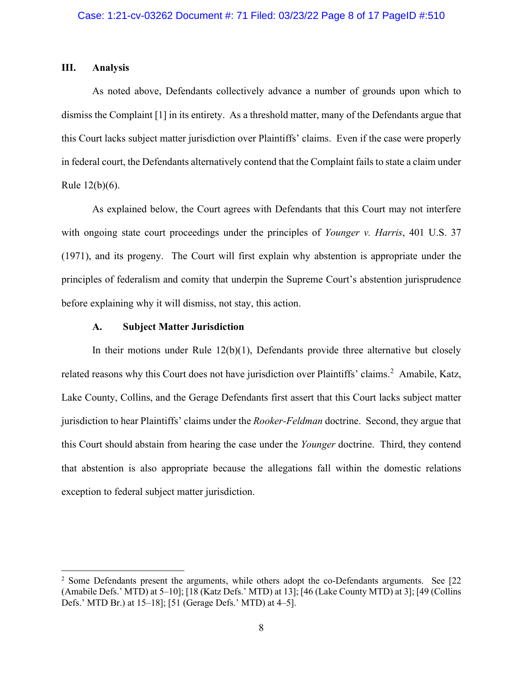## **III. Analysis**

As noted above, Defendants collectively advance a number of grounds upon which to dismiss the Complaint [1] in its entirety. As a threshold matter, many of the Defendants argue that this Court lacks subject matter jurisdiction over Plaintiffs' claims. Even if the case were properly in federal court, the Defendants alternatively contend that the Complaint fails to state a claim under Rule 12(b)(6).

As explained below, the Court agrees with Defendants that this Court may not interfere with ongoing state court proceedings under the principles of *Younger v. Harris*, 401 U.S. 37 (1971), and its progeny. The Court will first explain why abstention is appropriate under the principles of federalism and comity that underpin the Supreme Court's abstention jurisprudence before explaining why it will dismiss, not stay, this action.

# **A. Subject Matter Jurisdiction**

In their motions under Rule  $12(b)(1)$ , Defendants provide three alternative but closely related reasons why this Court does not have jurisdiction over Plaintiffs' claims.<sup>2</sup> Amabile, Katz, Lake County, Collins, and the Gerage Defendants first assert that this Court lacks subject matter jurisdiction to hear Plaintiffs' claims under the *Rooker-Feldman* doctrine. Second, they argue that this Court should abstain from hearing the case under the *Younger* doctrine. Third, they contend that abstention is also appropriate because the allegations fall within the domestic relations exception to federal subject matter jurisdiction.

 $2$  Some Defendants present the arguments, while others adopt the co-Defendants arguments. See [22 (Amabile Defs.' MTD) at 5–10]; [18 (Katz Defs.' MTD) at 13]; [46 (Lake County MTD) at 3]; [49 (Collins Defs.' MTD Br.) at 15–18]; [51 (Gerage Defs.' MTD) at 4–5].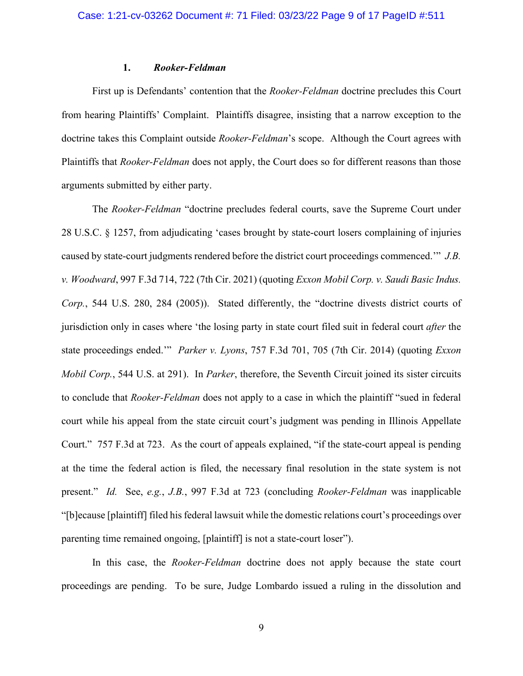#### **1.** *Rooker-Feldman*

First up is Defendants' contention that the *Rooker-Feldman* doctrine precludes this Court from hearing Plaintiffs' Complaint. Plaintiffs disagree, insisting that a narrow exception to the doctrine takes this Complaint outside *Rooker-Feldman*'s scope. Although the Court agrees with Plaintiffs that *Rooker-Feldman* does not apply, the Court does so for different reasons than those arguments submitted by either party.

The *Rooker-Feldman* "doctrine precludes federal courts, save the Supreme Court under 28 U.S.C. § 1257, from adjudicating 'cases brought by state-court losers complaining of injuries caused by state-court judgments rendered before the district court proceedings commenced.'" *J.B. v. Woodward*, 997 F.3d 714, 722 (7th Cir. 2021) (quoting *Exxon Mobil Corp. v. Saudi Basic Indus. Corp.*, 544 U.S. 280, 284 (2005)). Stated differently, the "doctrine divests district courts of jurisdiction only in cases where 'the losing party in state court filed suit in federal court *after* the state proceedings ended.'" *Parker v. Lyons*, 757 F.3d 701, 705 (7th Cir. 2014) (quoting *Exxon Mobil Corp.*, 544 U.S. at 291). In *Parker*, therefore, the Seventh Circuit joined its sister circuits to conclude that *Rooker-Feldman* does not apply to a case in which the plaintiff "sued in federal court while his appeal from the state circuit court's judgment was pending in Illinois Appellate Court." 757 F.3d at 723. As the court of appeals explained, "if the state-court appeal is pending at the time the federal action is filed, the necessary final resolution in the state system is not present." *Id.* See, *e.g.*, *J.B.*, 997 F.3d at 723 (concluding *Rooker-Feldman* was inapplicable "[b]ecause [plaintiff] filed his federal lawsuit while the domestic relations court's proceedings over parenting time remained ongoing, [plaintiff] is not a state-court loser").

In this case, the *Rooker-Feldman* doctrine does not apply because the state court proceedings are pending. To be sure, Judge Lombardo issued a ruling in the dissolution and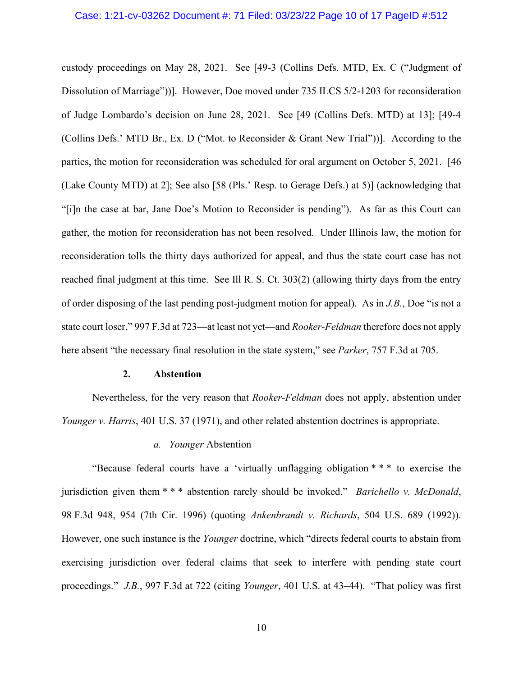#### Case: 1:21-cv-03262 Document #: 71 Filed: 03/23/22 Page 10 of 17 PageID #:512

custody proceedings on May 28, 2021. See [49-3 (Collins Defs. MTD, Ex. C ("Judgment of Dissolution of Marriage"))]. However, Doe moved under 735 ILCS 5/2-1203 for reconsideration of Judge Lombardo's decision on June 28, 2021. See [49 (Collins Defs. MTD) at 13]; [49-4 (Collins Defs.' MTD Br., Ex. D ("Mot. to Reconsider & Grant New Trial"))]. According to the parties, the motion for reconsideration was scheduled for oral argument on October 5, 2021. [46 (Lake County MTD) at 2]; See also [58 (Pls.' Resp. to Gerage Defs.) at 5)] (acknowledging that "[i]n the case at bar, Jane Doe's Motion to Reconsider is pending"). As far as this Court can gather, the motion for reconsideration has not been resolved. Under Illinois law, the motion for reconsideration tolls the thirty days authorized for appeal, and thus the state court case has not reached final judgment at this time. See Ill R. S. Ct. 303(2) (allowing thirty days from the entry of order disposing of the last pending post-judgment motion for appeal). As in *J.B.*, Doe "is not a state court loser," 997 F.3d at 723—at least not yet—and *Rooker-Feldman* therefore does not apply here absent "the necessary final resolution in the state system," see *Parker*, 757 F.3d at 705.

#### **2. Abstention**

Nevertheless, for the very reason that *Rooker-Feldman* does not apply, abstention under *Younger v. Harris*, 401 U.S. 37 (1971), and other related abstention doctrines is appropriate.

### *a. Younger* Abstention

"Because federal courts have a 'virtually unflagging obligation \* \* \* to exercise the jurisdiction given them \* \* \* abstention rarely should be invoked." *Barichello v. McDonald*, 98 F.3d 948, 954 (7th Cir. 1996) (quoting *Ankenbrandt v. Richards*, 504 U.S. 689 (1992)). However, one such instance is the *Younger* doctrine, which "directs federal courts to abstain from exercising jurisdiction over federal claims that seek to interfere with pending state court proceedings." *J.B.*, 997 F.3d at 722 (citing *Younger*, 401 U.S. at 43–44). "That policy was first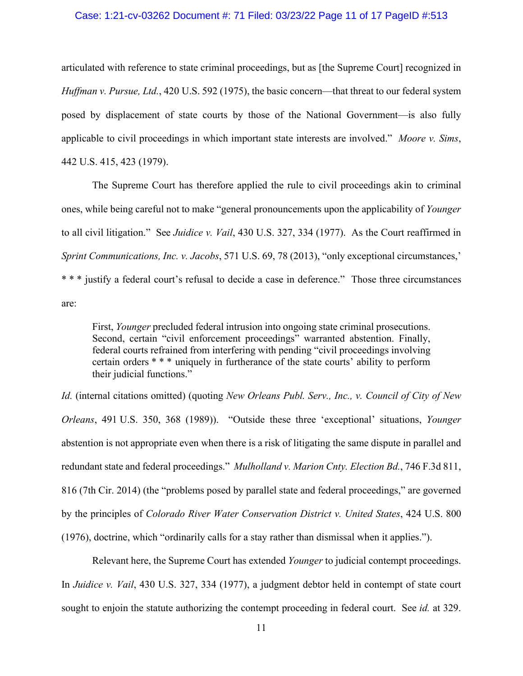### Case: 1:21-cv-03262 Document #: 71 Filed: 03/23/22 Page 11 of 17 PageID #:513

articulated with reference to state criminal proceedings, but as [the Supreme Court] recognized in *Huffman v. Pursue, Ltd.*, 420 U.S. 592 (1975), the basic concern—that threat to our federal system posed by displacement of state courts by those of the National Government—is also fully applicable to civil proceedings in which important state interests are involved." *Moore v. Sims*, 442 U.S. 415, 423 (1979).

The Supreme Court has therefore applied the rule to civil proceedings akin to criminal ones, while being careful not to make "general pronouncements upon the applicability of *Younger* to all civil litigation." See *Juidice v. Vail*, 430 U.S. 327, 334 (1977). As the Court reaffirmed in *Sprint Communications, Inc. v. Jacobs*, 571 U.S. 69, 78 (2013), "only exceptional circumstances,' \* \* \* justify a federal court's refusal to decide a case in deference." Those three circumstances are:

First, *Younger* precluded federal intrusion into ongoing state criminal prosecutions. Second, certain "civil enforcement proceedings" warranted abstention. Finally, federal courts refrained from interfering with pending "civil proceedings involving certain orders \* \* \* uniquely in furtherance of the state courts' ability to perform their judicial functions."

*Id.* (internal citations omitted) (quoting *New Orleans Publ. Serv., Inc., v. Council of City of New Orleans*, 491 U.S. 350, 368 (1989)). "Outside these three 'exceptional' situations, *Younger*  abstention is not appropriate even when there is a risk of litigating the same dispute in parallel and redundant state and federal proceedings." *Mulholland v. Marion Cnty. Election Bd.*, 746 F.3d 811, 816 (7th Cir. 2014) (the "problems posed by parallel state and federal proceedings," are governed by the principles of *Colorado River Water Conservation District v. United States*, 424 U.S. 800 (1976), doctrine, which "ordinarily calls for a stay rather than dismissal when it applies.").

Relevant here, the Supreme Court has extended *Younger* to judicial contempt proceedings. In *Juidice v. Vail*, 430 U.S. 327, 334 (1977), a judgment debtor held in contempt of state court sought to enjoin the statute authorizing the contempt proceeding in federal court. See *id.* at 329.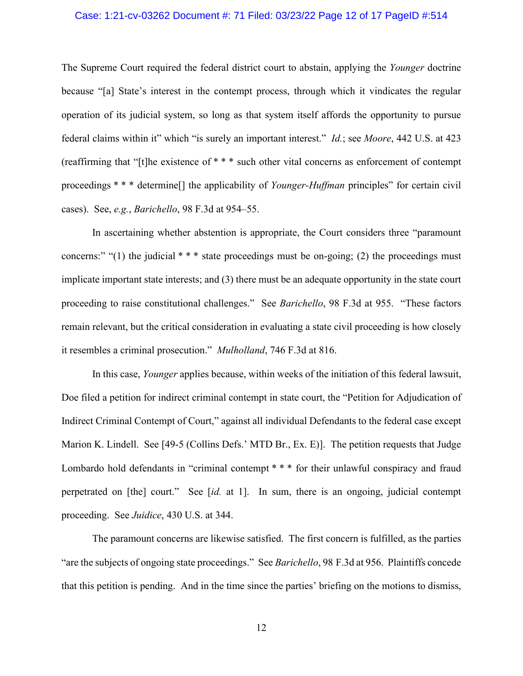### Case: 1:21-cv-03262 Document #: 71 Filed: 03/23/22 Page 12 of 17 PageID #:514

The Supreme Court required the federal district court to abstain, applying the *Younger* doctrine because "[a] State's interest in the contempt process, through which it vindicates the regular operation of its judicial system, so long as that system itself affords the opportunity to pursue federal claims within it" which "is surely an important interest." *Id.*; see *Moore*, 442 U.S. at 423 (reaffirming that "[t]he existence of \* \* \* such other vital concerns as enforcement of contempt proceedings \* \* \* determine[] the applicability of *Younger-Huffman* principles" for certain civil cases). See, *e.g.*, *Barichello*, 98 F.3d at 954–55.

In ascertaining whether abstention is appropriate, the Court considers three "paramount concerns:" "(1) the judicial  $***$  state proceedings must be on-going; (2) the proceedings must implicate important state interests; and (3) there must be an adequate opportunity in the state court proceeding to raise constitutional challenges." See *Barichello*, 98 F.3d at 955. "These factors remain relevant, but the critical consideration in evaluating a state civil proceeding is how closely it resembles a criminal prosecution." *Mulholland*, 746 F.3d at 816.

In this case, *Younger* applies because, within weeks of the initiation of this federal lawsuit, Doe filed a petition for indirect criminal contempt in state court, the "Petition for Adjudication of Indirect Criminal Contempt of Court," against all individual Defendants to the federal case except Marion K. Lindell. See [49-5 (Collins Defs.' MTD Br., Ex. E)]. The petition requests that Judge Lombardo hold defendants in "criminal contempt \* \* \* for their unlawful conspiracy and fraud perpetrated on [the] court." See [*id.* at 1]. In sum, there is an ongoing, judicial contempt proceeding. See *Juidice*, 430 U.S. at 344.

The paramount concerns are likewise satisfied. The first concern is fulfilled, as the parties "are the subjects of ongoing state proceedings." See *Barichello*, 98 F.3d at 956. Plaintiffs concede that this petition is pending. And in the time since the parties' briefing on the motions to dismiss,

12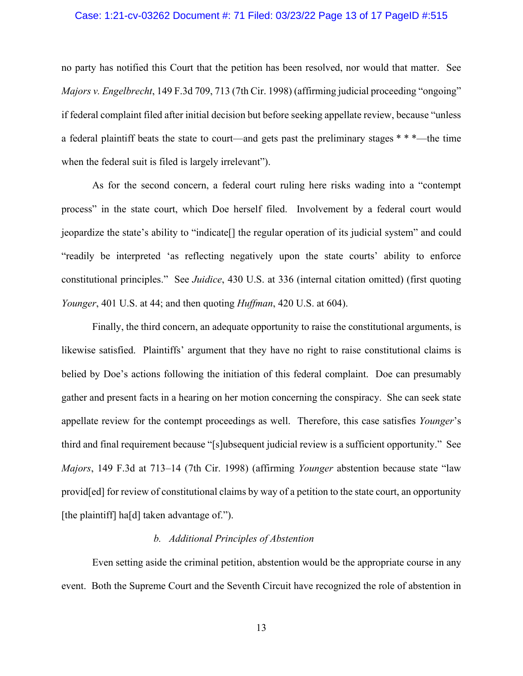### Case: 1:21-cv-03262 Document #: 71 Filed: 03/23/22 Page 13 of 17 PageID #:515

no party has notified this Court that the petition has been resolved, nor would that matter. See *Majors v. Engelbrecht*, 149 F.3d 709, 713 (7th Cir. 1998) (affirming judicial proceeding "ongoing" if federal complaint filed after initial decision but before seeking appellate review, because "unless a federal plaintiff beats the state to court—and gets past the preliminary stages \* \* \*—the time when the federal suit is filed is largely irrelevant").

As for the second concern, a federal court ruling here risks wading into a "contempt process" in the state court, which Doe herself filed. Involvement by a federal court would jeopardize the state's ability to "indicate[] the regular operation of its judicial system" and could "readily be interpreted 'as reflecting negatively upon the state courts' ability to enforce constitutional principles." See *Juidice*, 430 U.S. at 336 (internal citation omitted) (first quoting *Younger*, 401 U.S. at 44; and then quoting *Huffman*, 420 U.S. at 604).

Finally, the third concern, an adequate opportunity to raise the constitutional arguments, is likewise satisfied. Plaintiffs' argument that they have no right to raise constitutional claims is belied by Doe's actions following the initiation of this federal complaint. Doe can presumably gather and present facts in a hearing on her motion concerning the conspiracy. She can seek state appellate review for the contempt proceedings as well. Therefore, this case satisfies *Younger*'s third and final requirement because "[s]ubsequent judicial review is a sufficient opportunity." See *Majors*, 149 F.3d at 713–14 (7th Cir. 1998) (affirming *Younger* abstention because state "law provid[ed] for review of constitutional claims by way of a petition to the state court, an opportunity [the plaintiff] ha[d] taken advantage of.").

# *b. Additional Principles of Abstention*

Even setting aside the criminal petition, abstention would be the appropriate course in any event. Both the Supreme Court and the Seventh Circuit have recognized the role of abstention in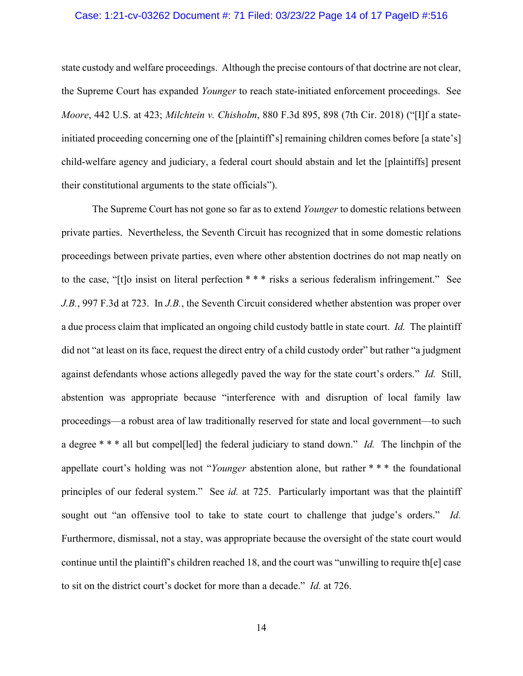### Case: 1:21-cv-03262 Document #: 71 Filed: 03/23/22 Page 14 of 17 PageID #:516

state custody and welfare proceedings. Although the precise contours of that doctrine are not clear, the Supreme Court has expanded *Younger* to reach state-initiated enforcement proceedings. See *Moore*, 442 U.S. at 423; *Milchtein v. Chisholm*, 880 F.3d 895, 898 (7th Cir. 2018) ("[I]f a stateinitiated proceeding concerning one of the [plaintiff's] remaining children comes before [a state's] child-welfare agency and judiciary, a federal court should abstain and let the [plaintiffs] present their constitutional arguments to the state officials").

The Supreme Court has not gone so far as to extend *Younger* to domestic relations between private parties. Nevertheless, the Seventh Circuit has recognized that in some domestic relations proceedings between private parties, even where other abstention doctrines do not map neatly on to the case, "[t]o insist on literal perfection \* \* \* risks a serious federalism infringement." See *J.B.*, 997 F.3d at 723. In *J.B.*, the Seventh Circuit considered whether abstention was proper over a due process claim that implicated an ongoing child custody battle in state court. *Id.* The plaintiff did not "at least on its face, request the direct entry of a child custody order" but rather "a judgment against defendants whose actions allegedly paved the way for the state court's orders." *Id.* Still, abstention was appropriate because "interference with and disruption of local family law proceedings—a robust area of law traditionally reserved for state and local government—to such a degree \* \* \* all but compel[led] the federal judiciary to stand down." *Id.* The linchpin of the appellate court's holding was not "*Younger* abstention alone, but rather \* \* \* the foundational principles of our federal system." See *id.* at 725. Particularly important was that the plaintiff sought out "an offensive tool to take to state court to challenge that judge's orders." *Id.* Furthermore, dismissal, not a stay, was appropriate because the oversight of the state court would continue until the plaintiff's children reached 18, and the court was "unwilling to require th[e] case to sit on the district court's docket for more than a decade." *Id.* at 726.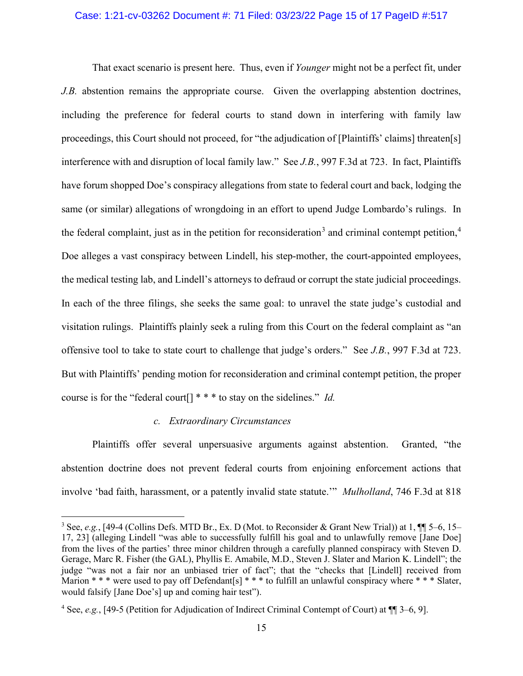#### Case: 1:21-cv-03262 Document #: 71 Filed: 03/23/22 Page 15 of 17 PageID #:517

That exact scenario is present here. Thus, even if *Younger* might not be a perfect fit, under *J.B.* abstention remains the appropriate course. Given the overlapping abstention doctrines, including the preference for federal courts to stand down in interfering with family law proceedings, this Court should not proceed, for "the adjudication of [Plaintiffs' claims] threaten[s] interference with and disruption of local family law." See *J.B.*, 997 F.3d at 723. In fact, Plaintiffs have forum shopped Doe's conspiracy allegations from state to federal court and back, lodging the same (or similar) allegations of wrongdoing in an effort to upend Judge Lombardo's rulings. In the federal complaint, just as in the petition for reconsideration<sup>3</sup> and criminal contempt petition,<sup>4</sup> Doe alleges a vast conspiracy between Lindell, his step-mother, the court-appointed employees, the medical testing lab, and Lindell's attorneys to defraud or corrupt the state judicial proceedings. In each of the three filings, she seeks the same goal: to unravel the state judge's custodial and visitation rulings. Plaintiffs plainly seek a ruling from this Court on the federal complaint as "an offensive tool to take to state court to challenge that judge's orders." See *J.B.*, 997 F.3d at 723. But with Plaintiffs' pending motion for reconsideration and criminal contempt petition, the proper course is for the "federal court[] \* \* \* to stay on the sidelines." *Id.*

#### *c. Extraordinary Circumstances*

Plaintiffs offer several unpersuasive arguments against abstention. Granted, "the abstention doctrine does not prevent federal courts from enjoining enforcement actions that involve 'bad faith, harassment, or a patently invalid state statute.'" *Mulholland*, 746 F.3d at 818

<sup>3</sup> See, *e.g.*, [49-4 (Collins Defs. MTD Br., Ex. D (Mot. to Reconsider & Grant New Trial)) at 1, ¶¶ 5–6, 15– 17, 23] (alleging Lindell "was able to successfully fulfill his goal and to unlawfully remove [Jane Doe] from the lives of the parties' three minor children through a carefully planned conspiracy with Steven D. Gerage, Marc R. Fisher (the GAL), Phyllis E. Amabile, M.D., Steven J. Slater and Marion K. Lindell"; the judge "was not a fair nor an unbiased trier of fact"; that the "checks that [Lindell] received from Marion  $**$  \* were used to pay off Defendant[s]  $***$  to fulfill an unlawful conspiracy where  $***$  Slater, would falsify [Jane Doe's] up and coming hair test").

<sup>4</sup> See, *e.g.*, [49-5 (Petition for Adjudication of Indirect Criminal Contempt of Court) at ¶¶ 3–6, 9].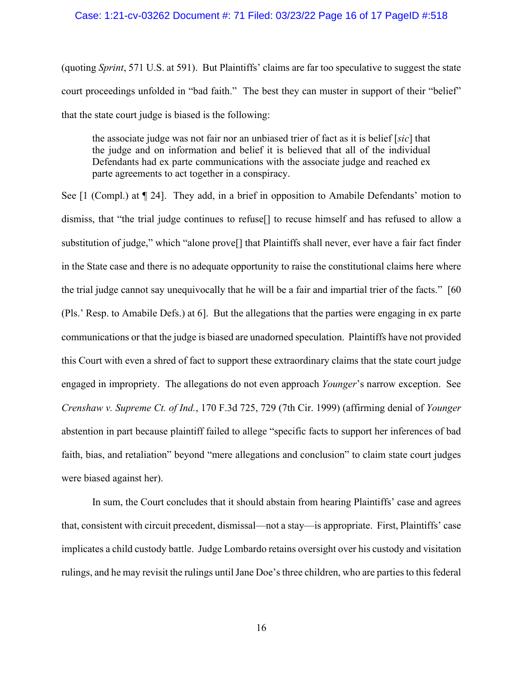# Case: 1:21-cv-03262 Document #: 71 Filed: 03/23/22 Page 16 of 17 PageID #:518

(quoting *Sprint*, 571 U.S. at 591). But Plaintiffs' claims are far too speculative to suggest the state court proceedings unfolded in "bad faith." The best they can muster in support of their "belief" that the state court judge is biased is the following:

the associate judge was not fair nor an unbiased trier of fact as it is belief [*sic*] that the judge and on information and belief it is believed that all of the individual Defendants had ex parte communications with the associate judge and reached ex parte agreements to act together in a conspiracy.

See [1 (Compl.) at ¶ 24]. They add, in a brief in opposition to Amabile Defendants' motion to dismiss, that "the trial judge continues to refuse[] to recuse himself and has refused to allow a substitution of judge," which "alone prove[] that Plaintiffs shall never, ever have a fair fact finder in the State case and there is no adequate opportunity to raise the constitutional claims here where the trial judge cannot say unequivocally that he will be a fair and impartial trier of the facts." [60 (Pls.' Resp. to Amabile Defs.) at 6]. But the allegations that the parties were engaging in ex parte communications or that the judge is biased are unadorned speculation. Plaintiffs have not provided this Court with even a shred of fact to support these extraordinary claims that the state court judge engaged in impropriety. The allegations do not even approach *Younger*'s narrow exception. See *Crenshaw v. Supreme Ct. of Ind.*, 170 F.3d 725, 729 (7th Cir. 1999) (affirming denial of *Younger* abstention in part because plaintiff failed to allege "specific facts to support her inferences of bad faith, bias, and retaliation" beyond "mere allegations and conclusion" to claim state court judges were biased against her).

In sum, the Court concludes that it should abstain from hearing Plaintiffs' case and agrees that, consistent with circuit precedent, dismissal—not a stay—is appropriate. First, Plaintiffs' case implicates a child custody battle. Judge Lombardo retains oversight over his custody and visitation rulings, and he may revisit the rulings until Jane Doe's three children, who are parties to this federal